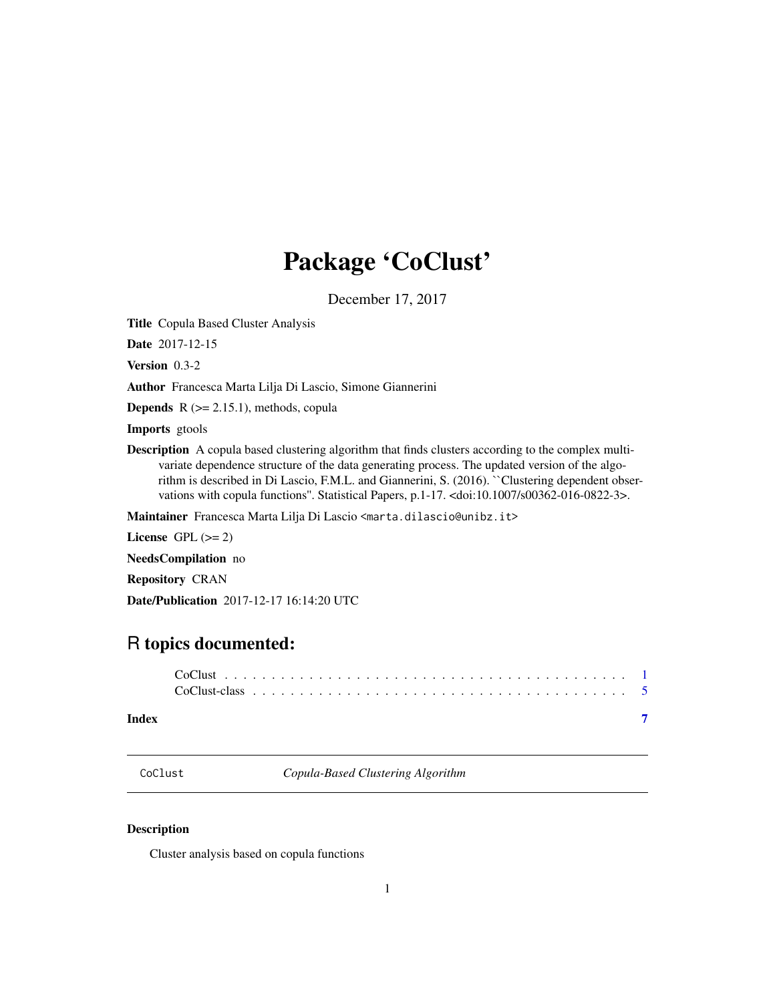## <span id="page-0-0"></span>Package 'CoClust'

December 17, 2017

<span id="page-0-1"></span>Title Copula Based Cluster Analysis

Date 2017-12-15

Version 0.3-2

Author Francesca Marta Lilja Di Lascio, Simone Giannerini

**Depends**  $R$  ( $>= 2.15.1$ ), methods, copula

Imports gtools

Description A copula based clustering algorithm that finds clusters according to the complex multivariate dependence structure of the data generating process. The updated version of the algorithm is described in Di Lascio, F.M.L. and Giannerini, S. (2016). "Clustering dependent observations with copula functions''. Statistical Papers, p.1-17. <doi:10.1007/s00362-016-0822-3>.

Maintainer Francesca Marta Lilja Di Lascio <marta.dilascio@unibz.it>

License GPL  $(>= 2)$ 

NeedsCompilation no

Repository CRAN

Date/Publication 2017-12-17 16:14:20 UTC

### R topics documented:

#### **Index** [7](#page-6-0) **7**

<span id="page-0-2"></span>CoClust *Copula-Based Clustering Algorithm*

#### Description

Cluster analysis based on copula functions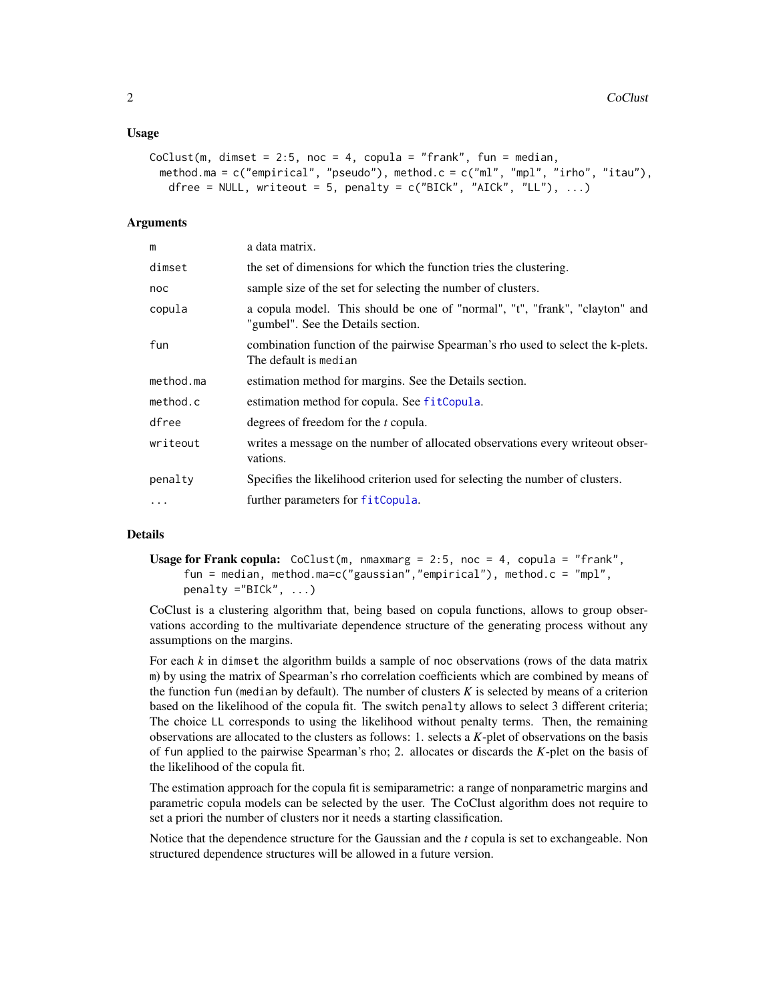#### <span id="page-1-0"></span>Usage

```
CoClust(m, dimset = 2:5, noc = 4, copula = "frank", fun = median,
 method.ma = c("empirical", "pseudo"), method.c = c("ml", "mpl", "irho", "itau"),
   dfree = NULL, writeout = 5, penalty = c("BICK", "AICK", "LL"), ...)
```
#### Arguments

| m          | a data matrix.                                                                                                    |
|------------|-------------------------------------------------------------------------------------------------------------------|
| dimset     | the set of dimensions for which the function tries the clustering.                                                |
| noc        | sample size of the set for selecting the number of clusters.                                                      |
| copula     | a copula model. This should be one of "normal", "t", "frank", "clayton" and<br>"gumbel". See the Details section. |
| fun        | combination function of the pairwise Spearman's rho used to select the k-plets.<br>The default is median          |
| method.ma  | estimation method for margins. See the Details section.                                                           |
| method.c   | estimation method for copula. See fitCopula.                                                                      |
| dfree      | degrees of freedom for the <i>t</i> copula.                                                                       |
| writeout   | writes a message on the number of allocated observations every write out obser-<br>vations.                       |
| penalty    | Specifies the likelihood criterion used for selecting the number of clusters.                                     |
| $\ddots$ . | further parameters for fitCopula.                                                                                 |

#### Details

**Usage for Frank copula:** CoClust(m, nmaxmarg = 2:5, noc = 4, copula = "frank", fun = median, method.ma=c("gaussian","empirical"), method.c = "mpl", penalty ="BICk", ...)

CoClust is a clustering algorithm that, being based on copula functions, allows to group observations according to the multivariate dependence structure of the generating process without any assumptions on the margins.

For each *k* in dimset the algorithm builds a sample of noc observations (rows of the data matrix m) by using the matrix of Spearman's rho correlation coefficients which are combined by means of the function fun (median by default). The number of clusters  $K$  is selected by means of a criterion based on the likelihood of the copula fit. The switch penalty allows to select 3 different criteria; The choice LL corresponds to using the likelihood without penalty terms. Then, the remaining observations are allocated to the clusters as follows: 1. selects a *K*-plet of observations on the basis of fun applied to the pairwise Spearman's rho; 2. allocates or discards the *K*-plet on the basis of the likelihood of the copula fit.

The estimation approach for the copula fit is semiparametric: a range of nonparametric margins and parametric copula models can be selected by the user. The CoClust algorithm does not require to set a priori the number of clusters nor it needs a starting classification.

Notice that the dependence structure for the Gaussian and the *t* copula is set to exchangeable. Non structured dependence structures will be allowed in a future version.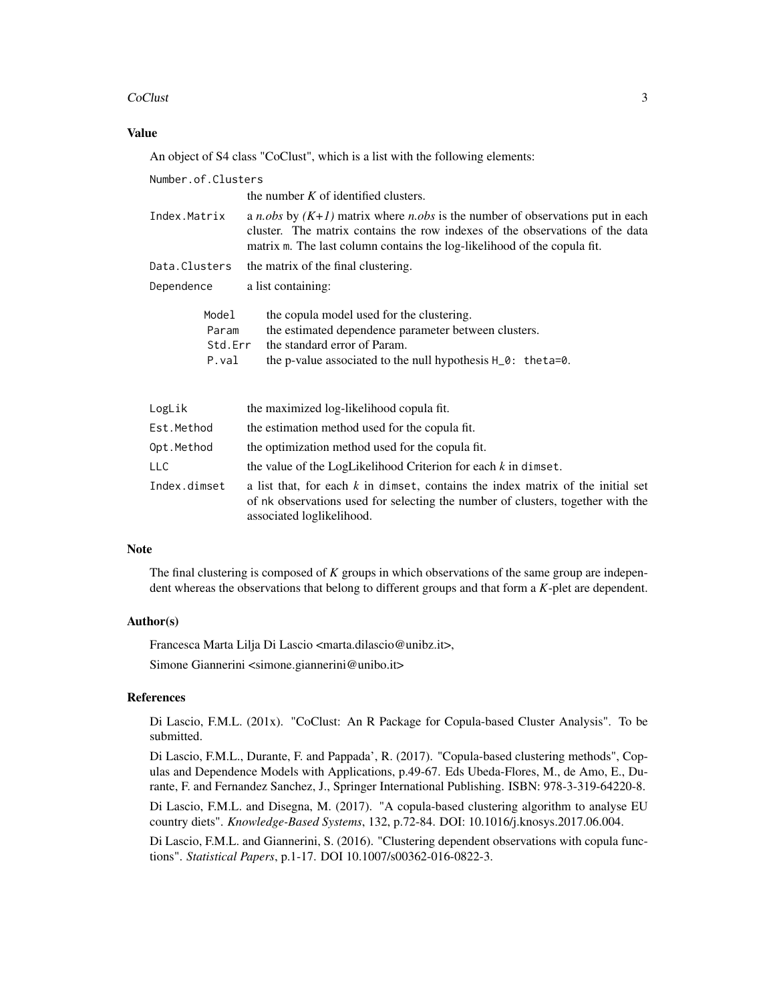#### CoClust 3

#### Value

An object of S4 class "CoClust", which is a list with the following elements:

Number.of.Clusters the number  $K$  of identified clusters. Index.Matrix a *n.obs* by *(K+1)* matrix where *n.obs* is the number of observations put in each cluster. The matrix contains the row indexes of the observations of the data matrix m. The last column contains the log-likelihood of the copula fit. Data.Clusters the matrix of the final clustering. Dependence a list containing: Model the copula model used for the clustering. Param the estimated dependence parameter between clusters. Std. Err the standard error of Param. P.val the p-value associated to the null hypothesis H\_0: theta=0. LogLik the maximized log-likelihood copula fit. Est. Method the estimation method used for the copula fit. Opt. Method the optimization method used for the copula fit. LLC the value of the LogLikelihood Criterion for each *k* in dimset.

Index.dimset a list that, for each  $k$  in dimset, contains the index matrix of the initial set of nk observations used for selecting the number of clusters, together with the associated loglikelihood.

#### **Note**

The final clustering is composed of *K* groups in which observations of the same group are independent whereas the observations that belong to different groups and that form a *K*-plet are dependent.

#### Author(s)

Francesca Marta Lilja Di Lascio <marta.dilascio@unibz.it>,

Simone Giannerini <simone.giannerini@unibo.it>

#### References

Di Lascio, F.M.L. (201x). "CoClust: An R Package for Copula-based Cluster Analysis". To be submitted.

Di Lascio, F.M.L., Durante, F. and Pappada', R. (2017). "Copula-based clustering methods", Copulas and Dependence Models with Applications, p.49-67. Eds Ubeda-Flores, M., de Amo, E., Durante, F. and Fernandez Sanchez, J., Springer International Publishing. ISBN: 978-3-319-64220-8.

Di Lascio, F.M.L. and Disegna, M. (2017). "A copula-based clustering algorithm to analyse EU country diets". *Knowledge-Based Systems*, 132, p.72-84. DOI: 10.1016/j.knosys.2017.06.004.

Di Lascio, F.M.L. and Giannerini, S. (2016). "Clustering dependent observations with copula functions". *Statistical Papers*, p.1-17. DOI 10.1007/s00362-016-0822-3.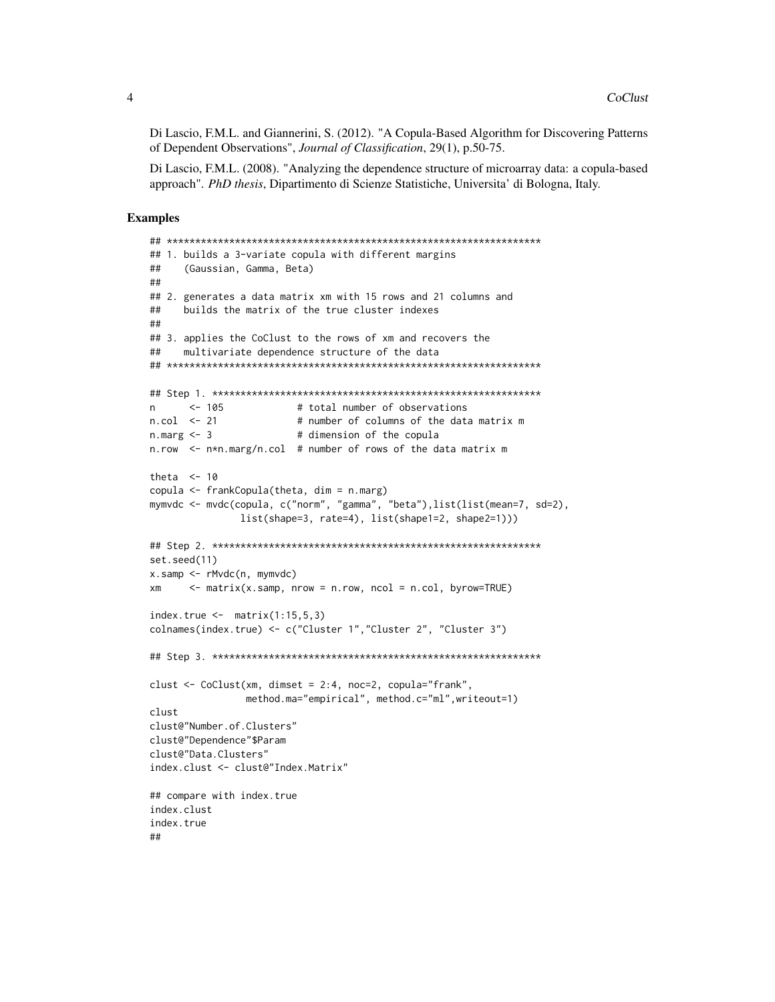Di Lascio, F.M.L. and Giannerini, S. (2012). "A Copula-Based Algorithm for Discovering Patterns of Dependent Observations", *Journal of Classification*, 29(1), p.50-75.

Di Lascio, F.M.L. (2008). "Analyzing the dependence structure of microarray data: a copula-based approach". *PhD thesis*, Dipartimento di Scienze Statistiche, Universita' di Bologna, Italy.

#### Examples

```
## ******************************************************************
## 1. builds a 3-variate copula with different margins
## (Gaussian, Gamma, Beta)
##
## 2. generates a data matrix xm with 15 rows and 21 columns and
## builds the matrix of the true cluster indexes
##
## 3. applies the CoClust to the rows of xm and recovers the
## multivariate dependence structure of the data
## ******************************************************************
## Step 1. **********************************************************
n <- 105 # total number of observations
n.col <- 21 # number of columns of the data matrix m
n.marg <- 3 # dimension of the copula
n.row <- n*n.marg/n.col # number of rows of the data matrix m
theta <-10copula <- frankCopula(theta, dim = n.marg)
mymvdc <- mvdc(copula, c("norm", "gamma", "beta"),list(list(mean=7, sd=2),
               list(shape=3, rate=4), list(shape1=2, shape2=1)))
## Step 2. **********************************************************
set.seed(11)
x.samp <- rMvdc(n, mymvdc)
xm \leq -\text{matrix}(x,\text{sample}, nrow = nrow, ncol = n,col, byrow=True)index.true \leq matrix(1:15,5,3)colnames(index.true) <- c("Cluster 1","Cluster 2", "Cluster 3")
## Step 3. **********************************************************
clust <- CoClust(xm, dimset = 2:4, noc=2, copula="frank",
                method.ma="empirical", method.c="ml",writeout=1)
clust
clust@"Number.of.Clusters"
clust@"Dependence"$Param
clust@"Data.Clusters"
index.clust <- clust@"Index.Matrix"
## compare with index.true
index.clust
index.true
##
```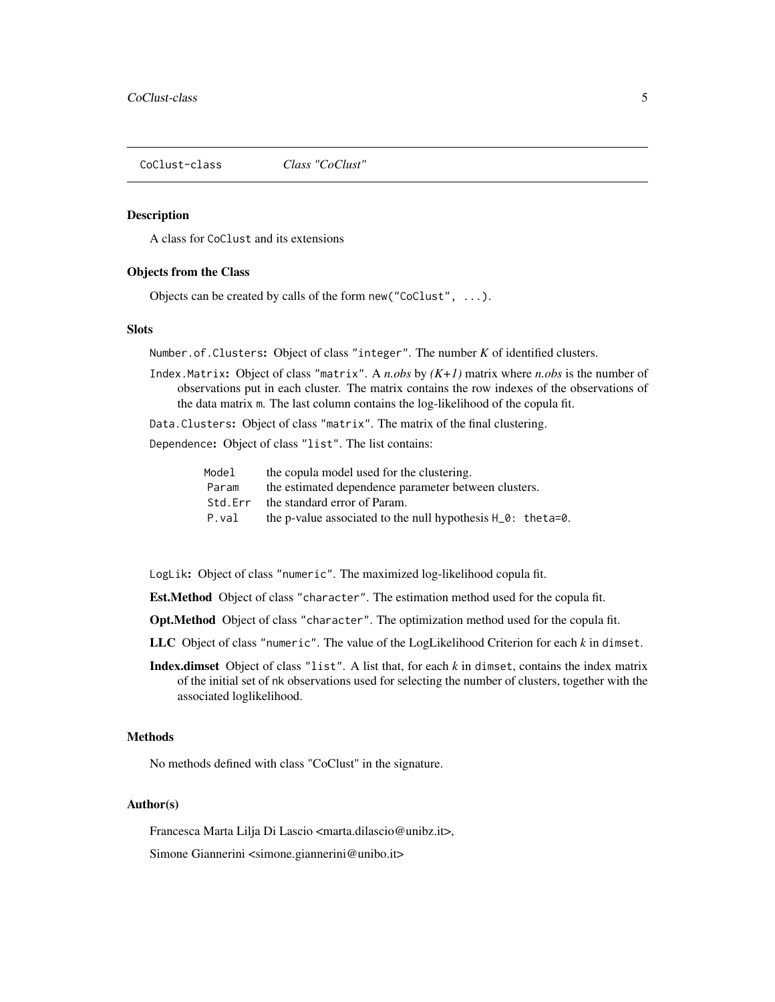<span id="page-4-0"></span>CoClust-class *Class "CoClust"*

#### **Description**

A class for CoClust and its extensions

#### Objects from the Class

Objects can be created by calls of the form new("CoClust", ...).

#### Slots

Number.of.Clusters: Object of class "integer". The number *K* of identified clusters.

Index.Matrix: Object of class "matrix". A *n.obs* by *(K+1)* matrix where *n.obs* is the number of observations put in each cluster. The matrix contains the row indexes of the observations of the data matrix m. The last column contains the log-likelihood of the copula fit.

Data.Clusters: Object of class "matrix". The matrix of the final clustering.

Dependence: Object of class "list". The list contains:

| Model   | the copula model used for the clustering.                       |
|---------|-----------------------------------------------------------------|
| Param   | the estimated dependence parameter between clusters.            |
| Std.Err | the standard error of Param.                                    |
| P.val   | the p-value associated to the null hypothesis $H_0$ : the ta=0. |

LogLik: Object of class "numeric". The maximized log-likelihood copula fit.

Est.Method Object of class "character". The estimation method used for the copula fit.

Opt.Method Object of class "character". The optimization method used for the copula fit.

- LLC Object of class "numeric". The value of the LogLikelihood Criterion for each *k* in dimset.
- Index.dimset Object of class "list". A list that, for each *k* in dimset, contains the index matrix of the initial set of nk observations used for selecting the number of clusters, together with the associated loglikelihood.

#### Methods

No methods defined with class "CoClust" in the signature.

#### Author(s)

Francesca Marta Lilja Di Lascio <marta.dilascio@unibz.it>,

Simone Giannerini <simone.giannerini@unibo.it>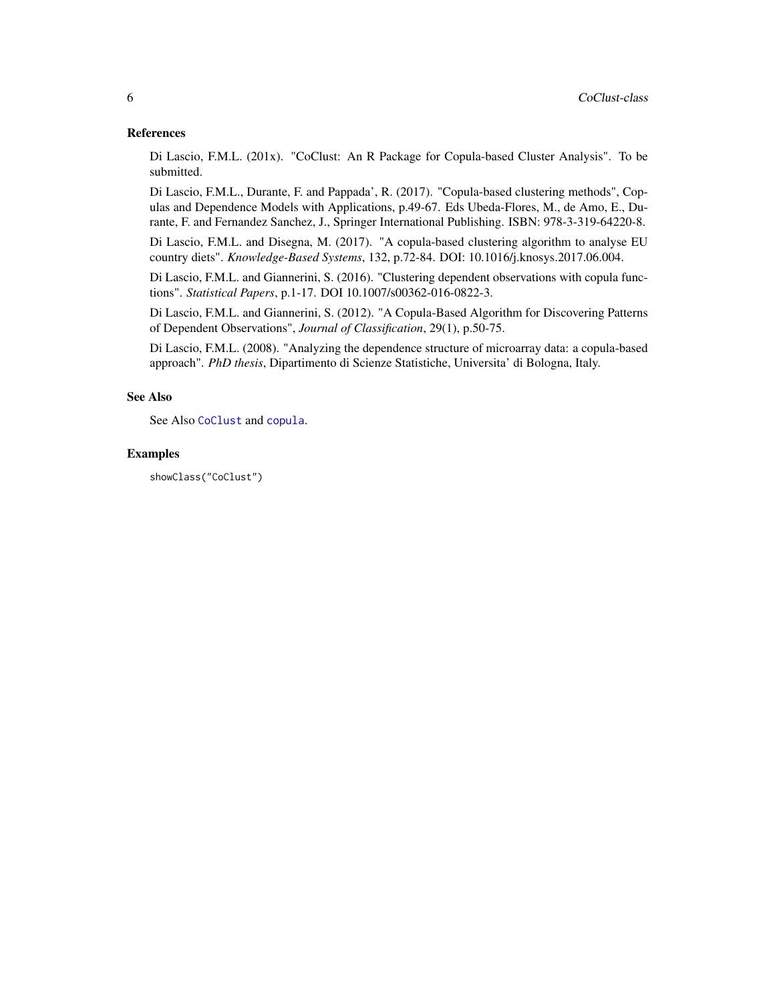#### <span id="page-5-0"></span>References

Di Lascio, F.M.L. (201x). "CoClust: An R Package for Copula-based Cluster Analysis". To be submitted.

Di Lascio, F.M.L., Durante, F. and Pappada', R. (2017). "Copula-based clustering methods", Copulas and Dependence Models with Applications, p.49-67. Eds Ubeda-Flores, M., de Amo, E., Durante, F. and Fernandez Sanchez, J., Springer International Publishing. ISBN: 978-3-319-64220-8.

Di Lascio, F.M.L. and Disegna, M. (2017). "A copula-based clustering algorithm to analyse EU country diets". *Knowledge-Based Systems*, 132, p.72-84. DOI: 10.1016/j.knosys.2017.06.004.

Di Lascio, F.M.L. and Giannerini, S. (2016). "Clustering dependent observations with copula functions". *Statistical Papers*, p.1-17. DOI 10.1007/s00362-016-0822-3.

Di Lascio, F.M.L. and Giannerini, S. (2012). "A Copula-Based Algorithm for Discovering Patterns of Dependent Observations", *Journal of Classification*, 29(1), p.50-75.

Di Lascio, F.M.L. (2008). "Analyzing the dependence structure of microarray data: a copula-based approach". *PhD thesis*, Dipartimento di Scienze Statistiche, Universita' di Bologna, Italy.

#### See Also

See Also [CoClust](#page-0-2) and [copula](#page-0-1).

#### Examples

showClass("CoClust")